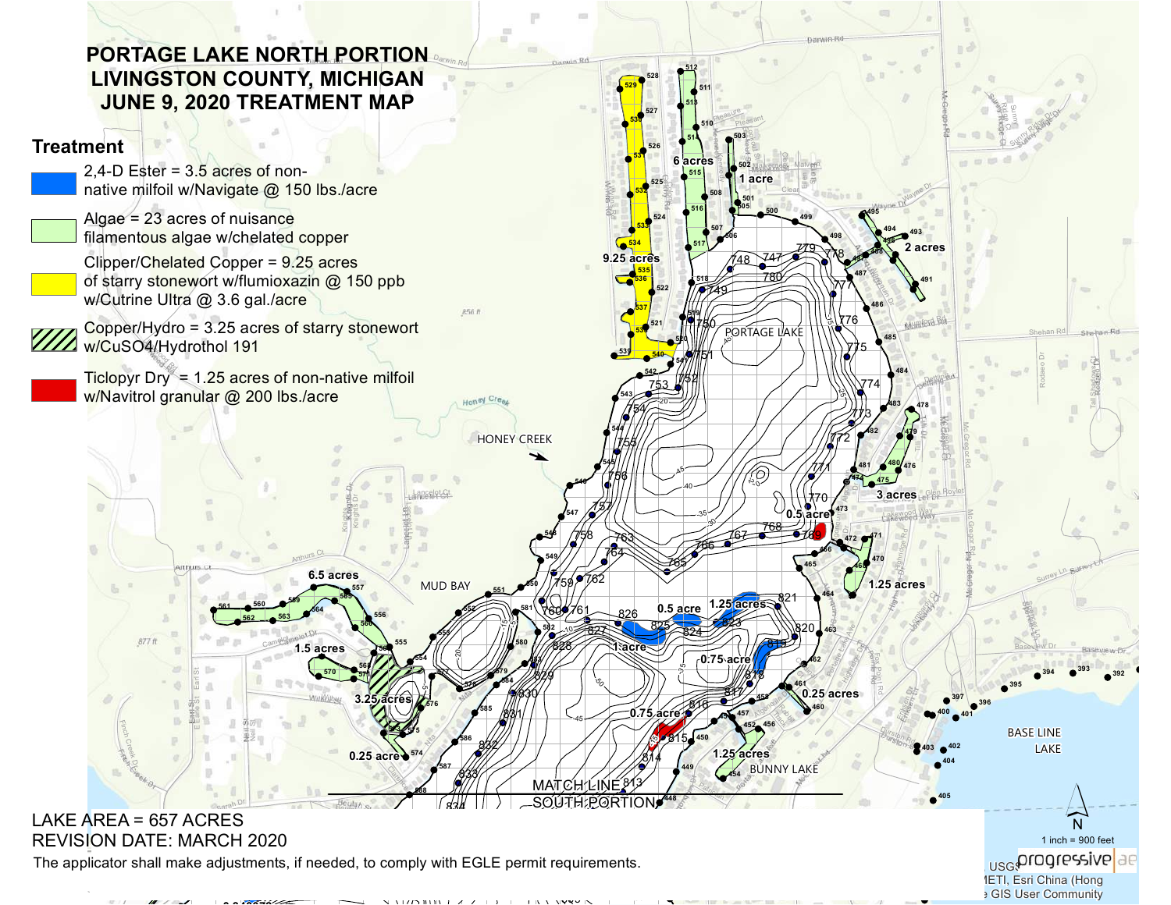